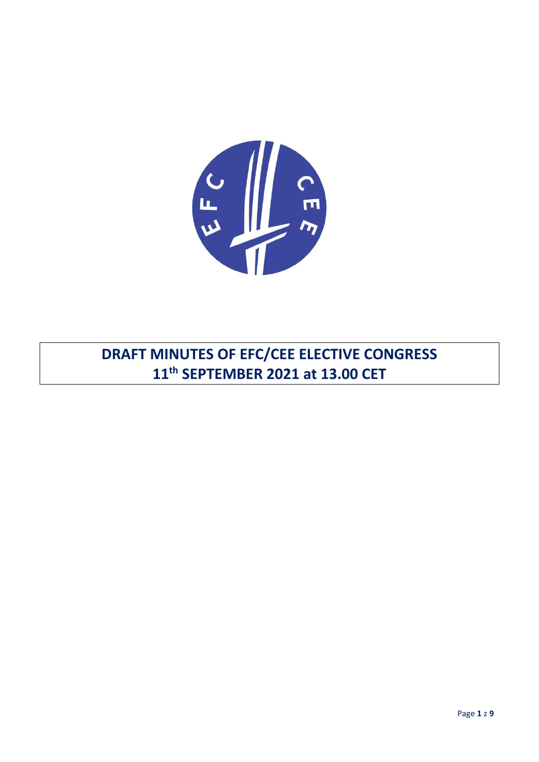

DRAFT MINUTES OF EFC/CEE ELECTIVE CONGRESS 11<sup>th</sup> SEPTEMBER 2021 at 13.00 CET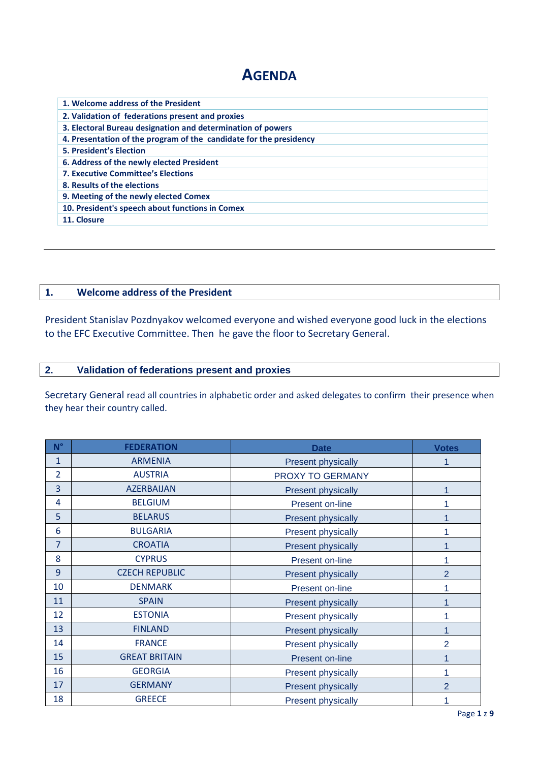# **AGENDA**

| 1. Welcome address of the President                                |  |  |  |  |
|--------------------------------------------------------------------|--|--|--|--|
| 2. Validation of federations present and proxies                   |  |  |  |  |
| 3. Electoral Bureau designation and determination of powers        |  |  |  |  |
| 4. Presentation of the program of the candidate for the presidency |  |  |  |  |
| <b>5. President's Election</b>                                     |  |  |  |  |
| 6. Address of the newly elected President                          |  |  |  |  |
| <b>7. Executive Committee's Elections</b>                          |  |  |  |  |
| 8. Results of the elections                                        |  |  |  |  |
| 9. Meeting of the newly elected Comex                              |  |  |  |  |
| 10. President's speech about functions in Comex                    |  |  |  |  |
| 11. Closure                                                        |  |  |  |  |

## **1. Welcome address of the President**

President Stanislav Pozdnyakov welcomed everyone and wished everyone good luck in the elections to the EFC Executive Committee. Then he gave the floor to Secretary General.

## **2. Validation of federations present and proxies**

Secretary General read all countries in alphabetic order and asked delegates to confirm their presence when they hear their country called.

| $N^{\circ}$    | <b>FEDERATION</b>     | <b>Date</b>                    | <b>Votes</b>   |
|----------------|-----------------------|--------------------------------|----------------|
| 1              | <b>ARMENIA</b>        | <b>Present physically</b>      | 1              |
| $\overline{2}$ | <b>AUSTRIA</b>        | PROXY TO GERMANY               |                |
| 3              | <b>AZERBAIJAN</b>     | <b>Present physically</b>      | 1              |
| 4              | <b>BELGIUM</b>        | Present on-line                | 1              |
| 5              | <b>BELARUS</b>        | <b>Present physically</b>      | 1              |
| 6              | <b>BULGARIA</b>       | <b>Present physically</b>      | 1              |
| $\overline{7}$ | <b>CROATIA</b>        | <b>Present physically</b>      | 1              |
| 8              | <b>CYPRUS</b>         | Present on-line                | 1              |
| 9              | <b>CZECH REPUBLIC</b> | Present physically             | $\overline{2}$ |
| 10             | <b>DENMARK</b>        | Present on-line                | 1              |
| 11             | <b>SPAIN</b>          | Present physically             |                |
| 12             | <b>ESTONIA</b>        | Present physically<br>1        |                |
| 13             | <b>FINLAND</b>        | <b>Present physically</b>      | 1              |
| 14             | <b>FRANCE</b>         | <b>Present physically</b>      | $\overline{2}$ |
| 15             | <b>GREAT BRITAIN</b>  | Present on-line                |                |
| 16             | <b>GEORGIA</b>        | <b>Present physically</b><br>1 |                |
| 17             | <b>GERMANY</b>        | <b>Present physically</b>      | $\overline{2}$ |
| 18             | <b>GREECE</b>         | <b>Present physically</b><br>1 |                |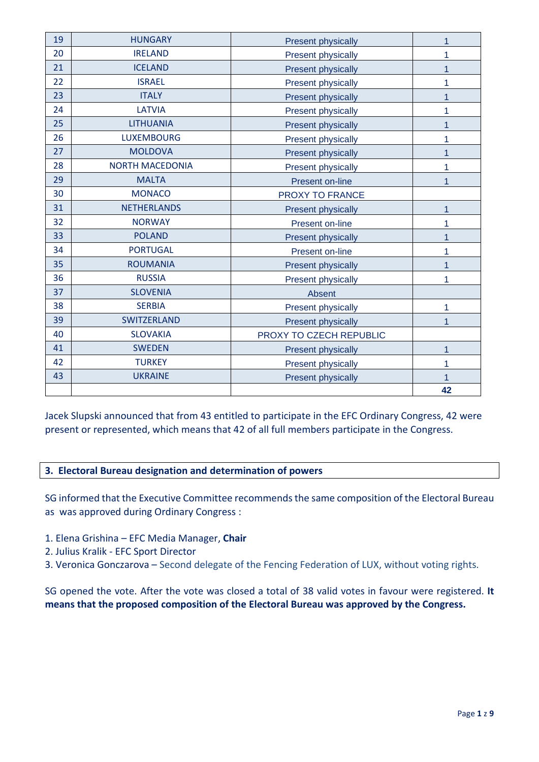| 19 | <b>HUNGARY</b>         | <b>Present physically</b>                   | 1  |
|----|------------------------|---------------------------------------------|----|
| 20 | <b>IRELAND</b>         | <b>Present physically</b>                   |    |
| 21 | <b>ICELAND</b>         | <b>Present physically</b>                   |    |
| 22 | <b>ISRAEL</b>          | <b>Present physically</b>                   |    |
| 23 | <b>ITALY</b>           | <b>Present physically</b>                   |    |
| 24 | <b>LATVIA</b>          | <b>Present physically</b>                   |    |
| 25 | <b>LITHUANIA</b>       | <b>Present physically</b>                   |    |
| 26 | <b>LUXEMBOURG</b>      | <b>Present physically</b><br>1              |    |
| 27 | <b>MOLDOVA</b>         | <b>Present physically</b><br>1              |    |
| 28 | <b>NORTH MACEDONIA</b> | Present physically                          | 1  |
| 29 | <b>MALTA</b>           | Present on-line                             |    |
| 30 | <b>MONACO</b>          | PROXY TO FRANCE                             |    |
| 31 | <b>NETHERLANDS</b>     | <b>Present physically</b>                   | 1  |
| 32 | <b>NORWAY</b>          | Present on-line                             |    |
| 33 | <b>POLAND</b>          | <b>Present physically</b>                   | 1  |
| 34 | <b>PORTUGAL</b>        | Present on-line                             | 1  |
| 35 | <b>ROUMANIA</b>        | <b>Present physically</b>                   |    |
| 36 | <b>RUSSIA</b>          | <b>Present physically</b>                   |    |
| 37 | <b>SLOVENIA</b>        | Absent                                      |    |
| 38 | <b>SERBIA</b>          | <b>Present physically</b><br>1              |    |
| 39 | <b>SWITZERLAND</b>     | <b>Present physically</b>                   |    |
| 40 | <b>SLOVAKIA</b>        | PROXY TO CZECH REPUBLIC                     |    |
| 41 | <b>SWEDEN</b>          | <b>Present physically</b><br>$\overline{1}$ |    |
| 42 | <b>TURKEY</b>          | 1<br><b>Present physically</b>              |    |
| 43 | <b>UKRAINE</b>         | <b>Present physically</b>                   |    |
|    |                        |                                             | 42 |

Jacek Slupski announced that from 43 entitled to participate in the EFC Ordinary Congress, 42 were present or represented, which means that 42 of all full members participate in the Congress.

# **3. Electoral Bureau designation and determination of powers**

SG informed that the Executive Committee recommends the same composition of the Electoral Bureau as was approved during Ordinary Congress :

- 1. Elena Grishina EFC Media Manager, **Chair**
- 2. Julius Kralik EFC Sport Director
- 3. Veronica Gonczarova Second delegate of the Fencing Federation of LUX, without voting rights.

SG opened the vote. After the vote was closed a total of 38 valid votes in favour were registered. **It means that the proposed composition of the Electoral Bureau was approved by the Congress.**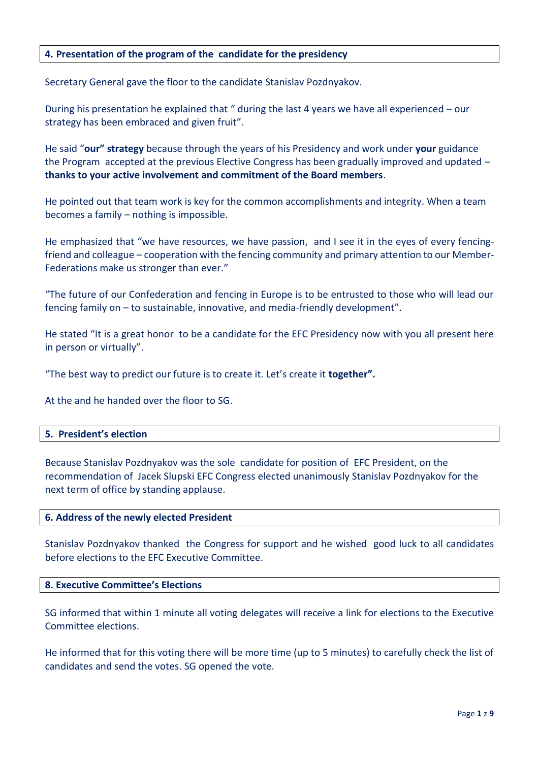## **4. Presentation of the program of the candidate for the presidency**

Secretary General gave the floor to the candidate Stanislav Pozdnyakov.

During his presentation he explained that " during the last 4 years we have all experienced – our strategy has been embraced and given fruit".

He said "**our" strategy** because through the years of his Presidency and work under **your** guidance the Program accepted at the previous Elective Congress has been gradually improved and updated – **thanks to your active involvement and commitment of the Board members**.

He pointed out that team work is key for the common accomplishments and integrity. When a team becomes a family – nothing is impossible.

He emphasized that "we have resources, we have passion, and I see it in the eyes of every fencingfriend and colleague – cooperation with the fencing community and primary attention to our Member-Federations make us stronger than ever."

"The future of our Confederation and fencing in Europe is to be entrusted to those who will lead our fencing family on – to sustainable, innovative, and media-friendly development".

He stated "It is a great honor to be a candidate for the EFC Presidency now with you all present here in person or virtually".

"The best way to predict our future is to create it. Let's create it **together".**

At the and he handed over the floor to SG.

#### **5. President's election**

Because Stanislav Pozdnyakov was the sole candidate for position of EFC President, on the recommendation of Jacek Slupski EFC Congress elected unanimously Stanislav Pozdnyakov for the next term of office by standing applause.

#### **6. Address of the newly elected President**

Stanislav Pozdnyakov thanked the Congress for support and he wished good luck to all candidates before elections to the EFC Executive Committee.

#### **8. Executive Committee's Elections**

SG informed that within 1 minute all voting delegates will receive a link for elections to the Executive Committee elections.

He informed that for this voting there will be more time (up to 5 minutes) to carefully check the list of candidates and send the votes. SG opened the vote.